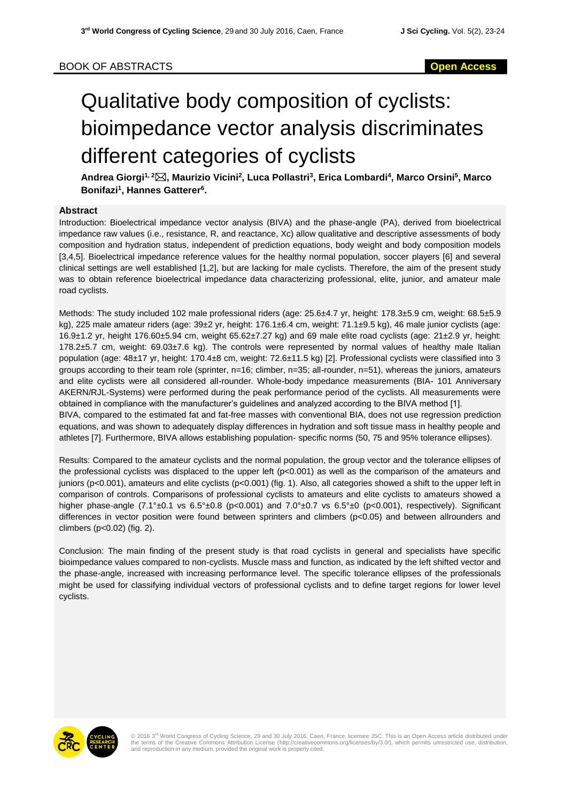# Qualitative body composition of cyclists: bioimpedance vector analysis discriminates different categories of cyclists

**Andrea Giorgi1, 2, Maurizio Vicini<sup>2</sup> , Luca Pollastri<sup>3</sup> , Erica Lombardi<sup>4</sup> , Marco Orsini<sup>5</sup> , Marco Bonifazi<sup>1</sup> , Hannes Gatterer<sup>6</sup> .**

### **Abstract**

Introduction: Bioelectrical impedance vector analysis (BIVA) and the phase-angle (PA), derived from bioelectrical impedance raw values (i.e., resistance, R, and reactance, Xc) allow qualitative and descriptive assessments of body composition and hydration status, independent of prediction equations, body weight and body composition models [3,4,5]. Bioelectrical impedance reference values for the healthy normal population, soccer players [6] and several clinical settings are well established [1,2], but are lacking for male cyclists. Therefore, the aim of the present study was to obtain reference bioelectrical impedance data characterizing professional, elite, junior, and amateur male road cyclists.

Methods: The study included 102 male professional riders (age: 25.6±4.7 yr, height: 178.3±5.9 cm, weight: 68.5±5.9 kg), 225 male amateur riders (age: 39±2 yr, height: 176.1±6.4 cm, weight: 71.1±9.5 kg), 46 male junior cyclists (age: 16.9±1.2 yr, height 176.60±5.94 cm, weight 65.62±7.27 kg) and 69 male elite road cyclists (age: 21±2.9 yr, height: 178.2±5.7 cm, weight: 69.03±7.6 kg). The controls were represented by normal values of healthy male Italian population (age: 48±17 yr, height: 170.4±8 cm, weight: 72.6±11.5 kg) [2]. Professional cyclists were classified into 3 groups according to their team role (sprinter, n=16; climber, n=35; all-rounder, n=51), whereas the juniors, amateurs and elite cyclists were all considered all-rounder. Whole-body impedance measurements (BIA- 101 Anniversary AKERN/RJL-Systems) were performed during the peak performance period of the cyclists. All measurements were obtained in compliance with the manufacturer's guidelines and analyzed according to the BIVA method [1]. BIVA, compared to the estimated fat and fat-free masses with conventional BIA, does not use regression prediction equations, and was shown to adequately display differences in hydration and soft tissue mass in healthy people and

athletes [7]. Furthermore, BIVA allows establishing population- specific norms (50, 75 and 95% tolerance ellipses).

Results: Compared to the amateur cyclists and the normal population, the group vector and the tolerance ellipses of the professional cyclists was displaced to the upper left (p<0.001) as well as the comparison of the amateurs and juniors ( $p<0.001$ ), amateurs and elite cyclists ( $p<0.001$ ) (fig. 1). Also, all categories showed a shift to the upper left in comparison of controls. Comparisons of professional cyclists to amateurs and elite cyclists to amateurs showed a higher phase-angle (7.1°±0.1 vs 6.5°±0.8 (p<0.001) and 7.0°±0.7 vs 6.5°±0 (p<0.001), respectively). Significant differences in vector position were found between sprinters and climbers (p<0.05) and between allrounders and climbers (p<0.02) (fig. 2).

Conclusion: The main finding of the present study is that road cyclists in general and specialists have specific bioimpedance values compared to non-cyclists. Muscle mass and function, as indicated by the left shifted vector and the phase-angle, increased with increasing performance level. The specific tolerance ellipses of the professionals might be used for classifying individual vectors of professional cyclists and to define target regions for lower level cyclists.



© 2016 3<sup>rd</sup> World Congress of Cycling Science, 29 and 30 July 2016, Caen, France. licensee JSC. This is an Open Access article distributed under<br>the terms of the Creative Commons Attribution License (http://creativecommon and reproduction in any medium, provided the original work is properly cited.